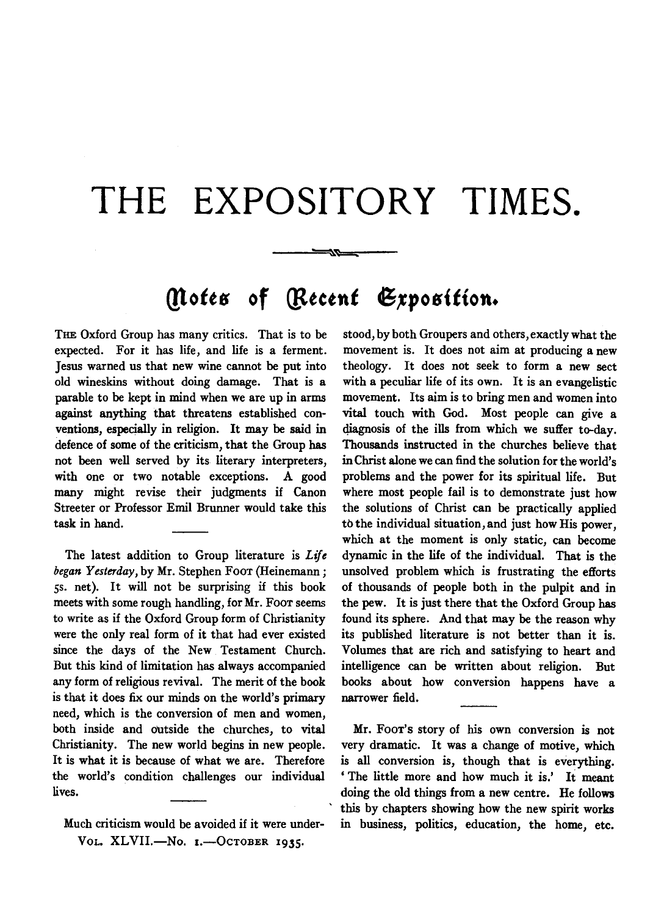## **THE EXPOSITORY TIMES.**

## *(Notes of [Recent Exposition.*

---~~

THE Oxford Group has many critics. That is to be expected. For it has life, and life is a ferment. Jesus warned us that new wine cannot be put into old wineskins without doing damage. That is a parable to be kept in mind when we are up in arms against anything that threatens established conventions, especially in religion. It may be said in defence of some of the criticism, that the Group has not been well served by its literary interpreters, with one or two notable exceptions. A good many might revise their judgments if Canon Streeter or Professor Emil Brunner would take this task in hand.

The latest addition to Group literature is *Life began Yesterday,* by Mr. Stephen FooT (Heinemann; *ss.* net). It will not be surprising if this book meets with some rough handling, for Mr. FooT seems to write as if the Oxford Group form of Christianity were the only real form of it that had ever existed since the days of the New Testament Church. But this kind of limitation has always accompanied any form of religious revival. The merit of the book is that it does fix our minds on the world's primary need, which is the conversion of men and women, both inside and outside the churches, to vital Christianity. The new world begins in new people. It is what it is because of what we are. Therefore the world's condition challenges our individual lives.

Much criticism would be avoided if it were under-VOL. XLVII.-No. I.-OCTOBER 1935.

stood, by both Groupers and others, exactly what the movement is. It does not aim at producing a new theology. It does not seek to form a new sect with a peculiar life of its own. It is an evangelistic movement. Its aim is to bring men and women into vital touch with God. Most people can give a diagnosis of the ills from which we suffer to-day. Thousands instructed in the churches believe that in Christ alone we can find the solution for the world's problems and the power for its spiritual life. But where most people fail is to demonstrate just how the solutions of Christ can be practically applied to the individual situation, and just how His power, which at the moment is only static, can become dynamic in the life of the individual. That is the unsolved problem which is frustrating the efforts of thousands of people both in the pulpit and in the pew. It is just there that the Oxford Group has found its sphere. And that may be the reason why its published literature is not better than it is. Volumes that are rich and satisfying to heart and intelligence can be written about religion. But books about how conversion happens have a narrower field.

Mr. FooT's story of his own conversion is not very dramatic. It was a change of motive, which is all conversion is, though that is everything. ' The little more and how much it is.' It meant doing the old things from a new centre. He follows this by chapters showing how the new spirit works in business, politics, education, the home, etc.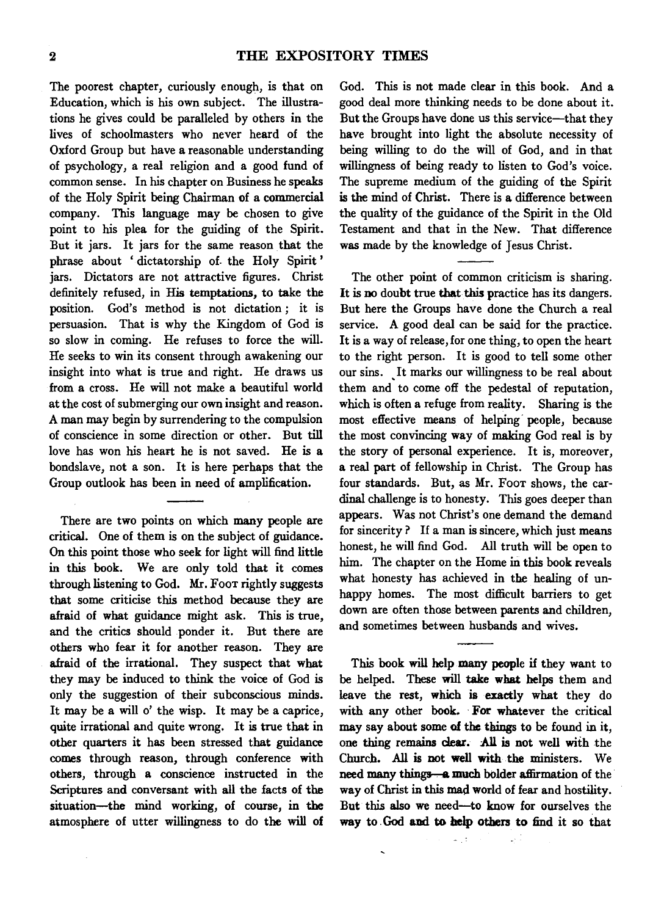The poorest chapter, curiously enough, is that on Education, which is his own subject. The illustrations he gives could be paralleled by others in the lives of schoolmasters who never heard of the Oxford Group but have a reasonable understanding of psychology, a real religion and a good fund of common sense. In his chapter on Business he speaks of the Holy Spirit being Chairman of a commercial company. This language may be chosen to give point to his plea for the guiding of the Spirit. But it jars. It jars for the same reason that the phrase about ' dictatorship of. the Holy Spirit ' jars. Dictators are not attractive figures. Christ definitely refused, in His temptations, to take the position. God's method is not dictation; it is persuasion. That is why the Kingdom of God is so slow in coming. He refuses to force the will. He seeks to win its consent through awakening our insight into what is true and right. He draws us from a cross. He will not make a beautiful world at the cost of submerging our own insight and reason. A man may begin by surrendering to the compulsion of conscience in some direction or other. But till love has won his heart he is not saved. He is a bondslave, not a son. It is here perhaps that the Group outlook has been in need of amplification.

There are two points on which many people are critical. One of them is on the subject of guidance. On this point those who seek for light will find little in this book. We are only told that it comes through listening to God. Mr. FooT rightly suggests that some criticise this method because they are afraid of what guidance might ask. This is true, and the critics should ponder it. But there are others who fear it for another reason. They are afraid of the irrational. They suspect that what they may be induced to think the voice of God is only the suggestion of their subconscious minds. It may be a will o' the wisp. It may be a caprice, quite irrational and quite wrong. It is true that in other quarters it has been stressed that guidance comes through reason, through conference with others, through a conscience instructed in the Scriptures and conversant with all the facts of the situation-the mind working, of course, in the atmosphere of utter willingness to do the will of God. This is not made clear in this book. And a good deal more thinking needs to be done about it. But the Groups have done us this service-that they have brought into light the absolute necessity of being willing to do the will of God, and in that willingness of being ready to listen to God's voice. The supreme medium of the guiding of the Spirit is the mind of Christ. There is a difference between the quality of the guidance of the Spirit in the Old Testament and that in the New. That difference was made by the knowledge of Jesus Christ.

The other point of common criticism is sharing. It is no doubt true that this practice has its dangers. But here the Groups have done the Church a real service. A good deal can be said for the practice. It is a way of release, for one thing, to open the heart to the right person. It is good to tell some other our sins. It marks our willingness to be real about them and to come off the pedestal of reputation, which is often a refuge from reality. Sharing is the most effective means of helping people, because the most convincing way of making God real is by the story of personal experience. It is, moreover, a real part of fellowship in Christ. The Group has four standards. But, as Mr. Foor shows, the cardinal challenge is to honesty. This goes deeper than appears. Was not Christ's one demand the demand for sincerity? If a man is sincere, which just means honest, he will find God. All truth will be open to him. The chapter on the Home in this book reveals what honesty has achieved in the healing of unhappy homes. The most difficult barriers to get down are often those between parents and children, and sometimes between husbands and wives.

This book will help many people if they want to be helped. These will take what helps them and leave the rest, which is exactly what they do with any other book. For whatever the critical may say about some of the things to be found in it, one thing remains clear. All is not well with the Church. All is not well with the ministers. We need many things—a much bolder affirmation of the way of Christ in this mad world of fear and hostility. But this also we need-to know for ourselves the way to God and to help others to find it so that

 $\omega_{\rm{B}}(t)$ 

 $\ddot{\phantom{0}}$ 

G.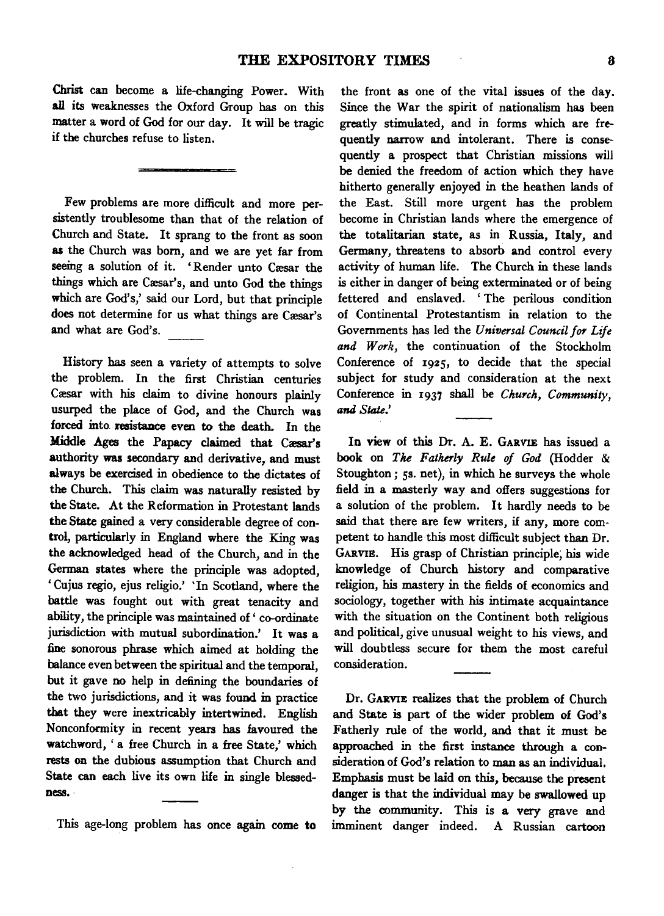Christ can become a life-changing Power. With all its weaknesses the Oxford Group has on this matter a word of God for our day. It will be tragic if the churches refuse to listen.

Few problems are more difficult and more persistently troublesome than that of the relation of Church and State. It sprang to the front as soon as the Church was born, and we are yet far from seeing a solution of it. 'Render unto Cæsar the things which are Cæsar's, and unto God the things which are God's,' said our Lord, but that principle does not determine for us what things are Cæsar's and what are God's.

History has seen a variety of attempts to solve the problem. In the first Christian centuries Cæsar with his claim to divine honours plainly usurped the place of God, and the Church was forced into resistance even to the death. In the Middle Ages the Papacy claimed that Cæsar's authority was secondary and derivative, and must always be exercised in obedience to the dictates of the Church. This claim was naturally resisted by the State. At the Reformation in Protestant lands the State gained a very considerable degree of control, particularly in England where the King was the acknowledged head of the Church, and in the German states where the principle was adopted, 'Cujus regio, ejus religio.' 'In Scotland, where the battle was fought out with great tenacity and ability, the principle was maintained of' co-ordinate jurisdiction with mutual subordination.' It was a fine sonorous phrase which aimed at holding the balance even between the spiritual and the temporal, but it gave no help in defining the boundaries of the two jurisdictions, and it was found in practice that they were inextricably intertwined. English Nonconformity in recent years has favoured the watchword, ' a free Church in a free State,' which rests on the dubious assumption that Church and State can each live its own life in single blessedness.·

This age-long problem has once again come to

the front as one of the vital issues of the day. Since the War the spirit of nationalism has been greatly stimulated, and in forms which are frequently narrow and intolerant. There is consequently a prospect that Christian missions will be denied the freedom of action which they have hitherto generally enjoyed in the heathen lands of the East. Still more urgent has the problem become in Christian lands where the emergence of the totalitarian state, as in Russia, Italy, and Germany, threatens to absorb and control every activity of human life. The Church in these lands is either in danger of being exterminated or of being fettered and enslaved. 'The perilous condition of Continental Protestantism in relation to the Governments has led the *Universal Council for Life and Work,* the continuation of the Stockholm Conference of 1925, to decide that the special subject for study and consideration at the next Conference in 1937 shall be *Church, Community, and State.'* 

In view of this Dr. A. E. GARVIE has issued a book on *Tlu: Fatherly Rule of God* (Hodder & Stoughton; 5s. net), in which he surveys the whole field in a masterly way and offers suggestions for a solution of the problem. It hardly needs to be said that there are few writers, if any, more competent to handle this most difficult subject than Dr. GARVIE. His grasp of Christian principle, his wide knowledge of Church history and comparative religion, his mastery in the fields of economics and sociology, together with his intimate acquaintance with the situation on the Continent both religious and political, give unusual weight to his views, and will doubtless secure for them the most careful consideration.

Dr. GARVIE realizes that the problem of Church and State is part of the wider problem of God's Fatherly rule of the world, and that it must be approached in the first instance through a consideration of God's relation to man as an individual. Emphasis must be laid on this, because the present danger is that the individual may be swallowed up by the community. This is a very grave and imminent danger indeed. A Russian cartoon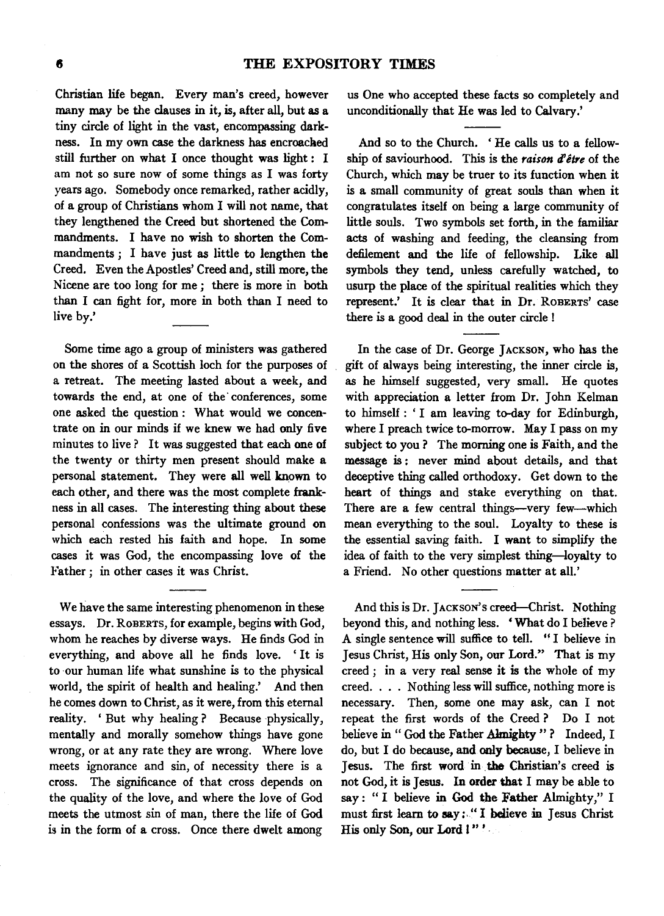Christian life began. Every man's creed, however many may be the clauses in it, is, after all, but as a tiny circle of light in the vast, encompassing darkness. In my own case the darkness has encroached still further on what I once thought was light : I am not so sure now of some things as I was forty years ago. Somebody once remarked, rather acidly, of a group of Christians whom I will not name, that they lengthened the Creed but shortened the Commandments. I have no wish to shorten the Commandments ; I have just as little to lengthen the Creed. Even the Apostles' Creed and, still more, the Nicene are too long for me *;* there is more in both than I can fight for, more in both than I need to live by.'

Some time ago a group of ministers was gathered on the shores of a Scottish loch for the purposes of a retreat. The meeting lasted about a week, and towards the end, at one of the· conferences, some one asked the question : What would we concentrate on in our minds if we knew we had only five minutes to live ? It was suggested that each one of the twenty or thirty men present should make a personal statement. They were all well known to each other, and there was the most complete frankness in all cases. The interesting thing about these personal confessions was the ultimate ground on which each rested his faith and hope. In some cases it was God, the encompassing love of the Father ; in other cases it was Christ.

We have the same interesting phenomenon in these essays. Dr. RoBERTS, for example, begins with God, whom he reaches by diverse ways. He finds God in everything, and above all he finds love. ' It is to ·our human life what sunshine is to the physical world, the spirit of health and healing.' And then he comes down to Christ, as it were, from this eternal reality. 'But why healing? Because physically, mentally and morally somehow things have gone wrong, or at any rate they are wrong. Where love meets ignorance and sin, of necessity there is a cross. The significance of that cross depends on the quality of the love, and where the love of God meets the utmost sin of man, there the life of God is in the form of a cross. Once there dwelt among

us One who accepted these facts so completely and unconditionally that He was led to Calvary.'

And so to the Church. ' He calls us to a fellowship of saviourhood. This is the *raison d'être* of the Church, which may be truer to its function when it is a small community of great souls than when it congratulates itself on being a large community of little souls. Two symbols set forth, in the familiar acts of washing and feeding, the cleansing from defilement and the life of fellowship. Like all symbols they tend, unless carefully watched, to usurp the place of the spiritual realities which they represent.' It is clear that in Dr. ROBERTS' case there is a good deal in the outer circle !

In the case of Dr. George JACKSON, who has the gift of always being interesting, the inner circle is, as he himself suggested, very small. He quotes with appreciation a letter from Dr. John Kelman to himself: 'I am leaving to-day for Edinburgh, where I preach twice to-morrow. May I pass on my subject to you? The morning one is Faith, and the message is : never mind about details, and that deceptive thing called orthodoxy. Get down to the heart of things and stake everything on that. There are a few central things--very few--which mean everything to the soul. Loyalty to these is the essential saving faith. I want to simplify the idea of faith to the very simplest thing-loyalty to a Friend. No other questions matter at all.'

And this is Dr. JACKSON's creed-Christ. Nothing beyond this, and nothing less. 'What do I believe? A single sentence will suffice to tell. " I believe in Jesus Christ, His only Son, our Lord." That is my creed ; in a very real sense it is the whole of my creed. . . . Nothing less will suffice, nothing more is necessary. Then, some one may ask, can I not repeat the first words of the Creed ? Do I not believe in" God the Father Almighty"? Indeed, I do, but I do because, and only because, I believe in Jesus. The first word in the Christian's creed is not God, it is Jesus. In order that I may be able to say: " I believe in God the Father Almighty," I must first learn to say: " I believe in Jesus Christ His only Son, our Lord I"'.